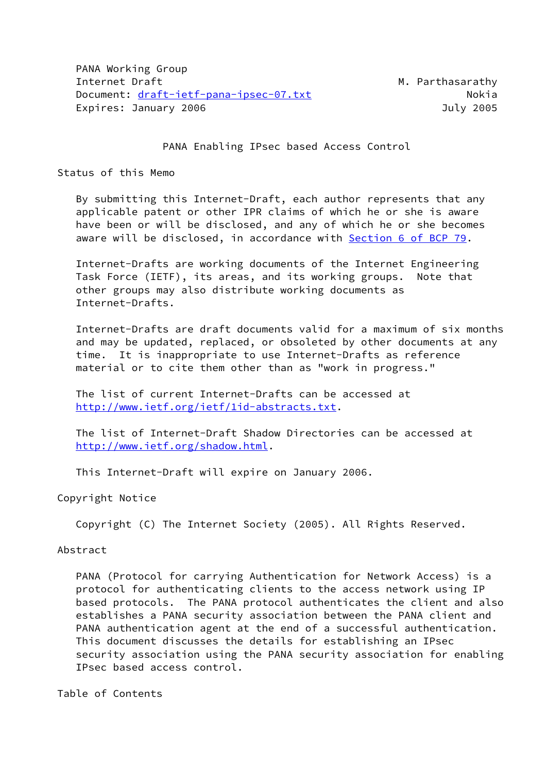PANA Working Group Internet Draft Metal Metal Metal Metal Metal Metal Metal Metal Metal Metal Metal Metal Metal Metal Metal Metal Document: [draft-ietf-pana-ipsec-07.txt](https://datatracker.ietf.org/doc/pdf/draft-ietf-pana-ipsec-07.txt) Nokia Expires: January 2006 **Galacter Expires: July 2005** 

### PANA Enabling IPsec based Access Control

Status of this Memo

 By submitting this Internet-Draft, each author represents that any applicable patent or other IPR claims of which he or she is aware have been or will be disclosed, and any of which he or she becomes aware will be disclosed, in accordance with Section [6 of BCP 79.](https://datatracker.ietf.org/doc/pdf/bcp79#section-6)

 Internet-Drafts are working documents of the Internet Engineering Task Force (IETF), its areas, and its working groups. Note that other groups may also distribute working documents as Internet-Drafts.

 Internet-Drafts are draft documents valid for a maximum of six months and may be updated, replaced, or obsoleted by other documents at any time. It is inappropriate to use Internet-Drafts as reference material or to cite them other than as "work in progress."

 The list of current Internet-Drafts can be accessed at <http://www.ietf.org/ietf/1id-abstracts.txt>.

 The list of Internet-Draft Shadow Directories can be accessed at <http://www.ietf.org/shadow.html>.

This Internet-Draft will expire on January 2006.

Copyright Notice

Copyright (C) The Internet Society (2005). All Rights Reserved.

Abstract

 PANA (Protocol for carrying Authentication for Network Access) is a protocol for authenticating clients to the access network using IP based protocols. The PANA protocol authenticates the client and also establishes a PANA security association between the PANA client and PANA authentication agent at the end of a successful authentication. This document discusses the details for establishing an IPsec security association using the PANA security association for enabling IPsec based access control.

Table of Contents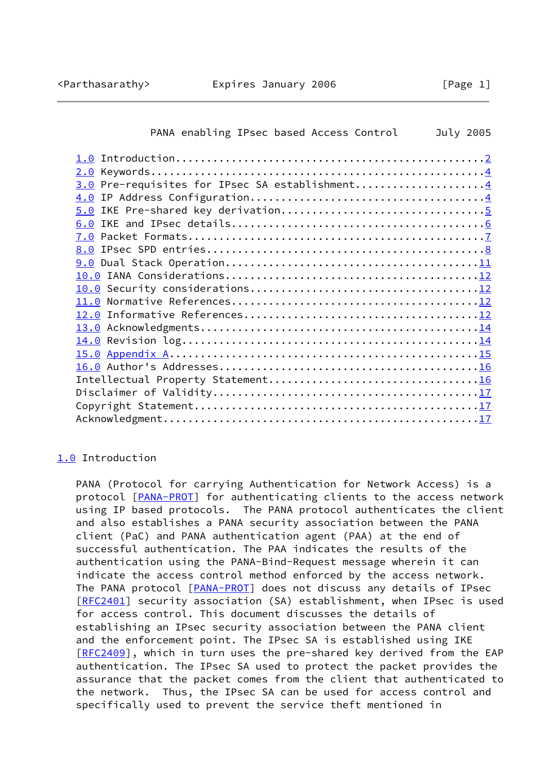<span id="page-1-1"></span>

| PANA enabling IPsec based Access Control       | July 2005 |
|------------------------------------------------|-----------|
|                                                |           |
|                                                |           |
| 3.0 Pre-requisites for IPsec SA establishment4 |           |
|                                                |           |
| 5.0 IKE Pre-shared key derivation5             |           |
|                                                |           |
|                                                |           |
|                                                |           |
|                                                |           |
|                                                |           |
|                                                |           |
|                                                |           |
|                                                |           |
|                                                |           |
|                                                |           |
|                                                |           |
|                                                |           |
|                                                |           |
|                                                |           |
|                                                |           |
|                                                |           |
|                                                |           |
|                                                |           |

# <span id="page-1-0"></span>[1.0](#page-1-0) Introduction

 PANA (Protocol for carrying Authentication for Network Access) is a protocol [\[PANA-PROT\]](#page-13-1) for authenticating clients to the access network using IP based protocols. The PANA protocol authenticates the client and also establishes a PANA security association between the PANA client (PaC) and PANA authentication agent (PAA) at the end of successful authentication. The PAA indicates the results of the authentication using the PANA-Bind-Request message wherein it can indicate the access control method enforced by the access network. The PANA protocol [[PANA-PROT\]](#page-13-1) does not discuss any details of IPsec [\[RFC2401](https://datatracker.ietf.org/doc/pdf/rfc2401)] security association (SA) establishment, when IPsec is used for access control. This document discusses the details of establishing an IPsec security association between the PANA client and the enforcement point. The IPsec SA is established using IKE [\[RFC2409](https://datatracker.ietf.org/doc/pdf/rfc2409)], which in turn uses the pre-shared key derived from the EAP authentication. The IPsec SA used to protect the packet provides the assurance that the packet comes from the client that authenticated to the network. Thus, the IPsec SA can be used for access control and specifically used to prevent the service theft mentioned in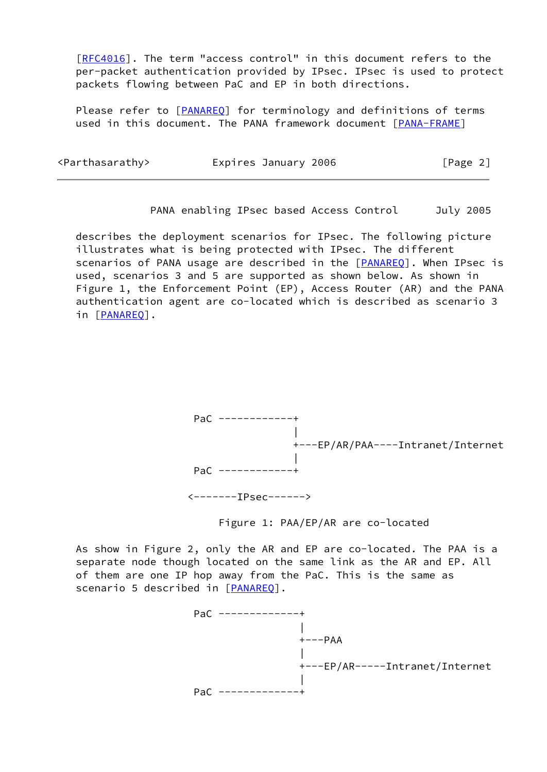[\[RFC4016](https://datatracker.ietf.org/doc/pdf/rfc4016)]. The term "access control" in this document refers to the per-packet authentication provided by IPsec. IPsec is used to protect packets flowing between PaC and EP in both directions.

Please refer to [\[PANAREQ](#page-13-2)] for terminology and definitions of terms used in this document. The PANA framework document [[PANA-FRAME\]](#page-13-3)

| <parthasarathy></parthasarathy> | Expires January 2006 | [Page 2] |
|---------------------------------|----------------------|----------|
|                                 |                      |          |

PANA enabling IPsec based Access Control July 2005

 describes the deployment scenarios for IPsec. The following picture illustrates what is being protected with IPsec. The different scenarios of PANA usage are described in the [\[PANAREQ](#page-13-2)]. When IPsec is used, scenarios 3 and 5 are supported as shown below. As shown in Figure 1, the Enforcement Point (EP), Access Router (AR) and the PANA authentication agent are co-located which is described as scenario 3 in [[PANAREQ\]](#page-13-2).



Figure 1: PAA/EP/AR are co-located

 As show in Figure 2, only the AR and EP are co-located. The PAA is a separate node though located on the same link as the AR and EP. All of them are one IP hop away from the PaC. This is the same as scenario 5 described in [\[PANAREQ](#page-13-2)].

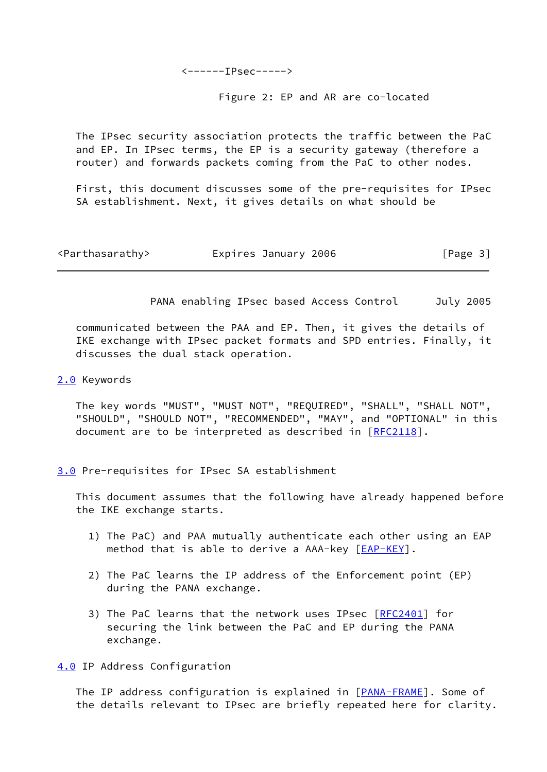<------IPsec----->

Figure 2: EP and AR are co-located

 The IPsec security association protects the traffic between the PaC and EP. In IPsec terms, the EP is a security gateway (therefore a router) and forwards packets coming from the PaC to other nodes.

 First, this document discusses some of the pre-requisites for IPsec SA establishment. Next, it gives details on what should be

<span id="page-3-1"></span>

| <parthasarathy></parthasarathy> | Expires January 2006 | [Page 3] |
|---------------------------------|----------------------|----------|
|---------------------------------|----------------------|----------|

PANA enabling IPsec based Access Control July 2005

 communicated between the PAA and EP. Then, it gives the details of IKE exchange with IPsec packet formats and SPD entries. Finally, it discusses the dual stack operation.

### <span id="page-3-0"></span>[2.0](#page-3-0) Keywords

 The key words "MUST", "MUST NOT", "REQUIRED", "SHALL", "SHALL NOT", "SHOULD", "SHOULD NOT", "RECOMMENDED", "MAY", and "OPTIONAL" in this document are to be interpreted as described in [\[RFC2118](https://datatracker.ietf.org/doc/pdf/rfc2118)].

<span id="page-3-2"></span>[3.0](#page-3-2) Pre-requisites for IPsec SA establishment

 This document assumes that the following have already happened before the IKE exchange starts.

- 1) The PaC) and PAA mutually authenticate each other using an EAP method that is able to derive a AAA-key  $[EAP-KEY]$  $[EAP-KEY]$ .
- 2) The PaC learns the IP address of the Enforcement point (EP) during the PANA exchange.
- 3) The PaC learns that the network uses IPsec [\[RFC2401](https://datatracker.ietf.org/doc/pdf/rfc2401)] for securing the link between the PaC and EP during the PANA exchange.

<span id="page-3-3"></span>[4.0](#page-3-3) IP Address Configuration

The IP address configuration is explained in [\[PANA-FRAME\]](#page-13-3). Some of the details relevant to IPsec are briefly repeated here for clarity.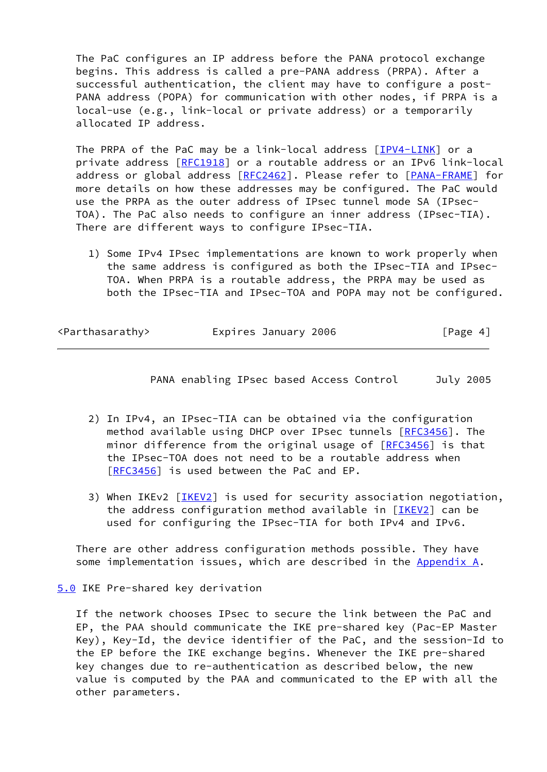The PaC configures an IP address before the PANA protocol exchange begins. This address is called a pre-PANA address (PRPA). After a successful authentication, the client may have to configure a post- PANA address (POPA) for communication with other nodes, if PRPA is a local-use (e.g., link-local or private address) or a temporarily allocated IP address.

The PRPA of the PaC may be a link-local address [\[IPV4-LINK](#page-14-4)] or a private address [\[RFC1918](https://datatracker.ietf.org/doc/pdf/rfc1918)] or a routable address or an IPv6 link-local address or global address [[RFC2462](https://datatracker.ietf.org/doc/pdf/rfc2462)]. Please refer to [\[PANA-FRAME\]](#page-13-3) for more details on how these addresses may be configured. The PaC would use the PRPA as the outer address of IPsec tunnel mode SA (IPsec- TOA). The PaC also needs to configure an inner address (IPsec-TIA). There are different ways to configure IPsec-TIA.

 1) Some IPv4 IPsec implementations are known to work properly when the same address is configured as both the IPsec-TIA and IPsec- TOA. When PRPA is a routable address, the PRPA may be used as both the IPsec-TIA and IPsec-TOA and POPA may not be configured.

<span id="page-4-1"></span>

| <parthasarathy></parthasarathy> | Expires January 2006 | [Page 4] |
|---------------------------------|----------------------|----------|
|                                 |                      |          |

PANA enabling IPsec based Access Control July 2005

- 2) In IPv4, an IPsec-TIA can be obtained via the configuration method available using DHCP over IPsec tunnels [\[RFC3456](https://datatracker.ietf.org/doc/pdf/rfc3456)]. The minor difference from the original usage of [\[RFC3456](https://datatracker.ietf.org/doc/pdf/rfc3456)] is that the IPsec-TOA does not need to be a routable address when [\[RFC3456](https://datatracker.ietf.org/doc/pdf/rfc3456)] is used between the PaC and EP.
- 3) When IKEv2 [\[IKEV2](#page-13-4)] is used for security association negotiation, the address configuration method available in  $[IKEV2]$  can be used for configuring the IPsec-TIA for both IPv4 and IPv6.

 There are other address configuration methods possible. They have some implementation issues, which are described in the Appendix A.

<span id="page-4-0"></span>[5.0](#page-4-0) IKE Pre-shared key derivation

 If the network chooses IPsec to secure the link between the PaC and EP, the PAA should communicate the IKE pre-shared key (Pac-EP Master Key), Key-Id, the device identifier of the PaC, and the session-Id to the EP before the IKE exchange begins. Whenever the IKE pre-shared key changes due to re-authentication as described below, the new value is computed by the PAA and communicated to the EP with all the other parameters.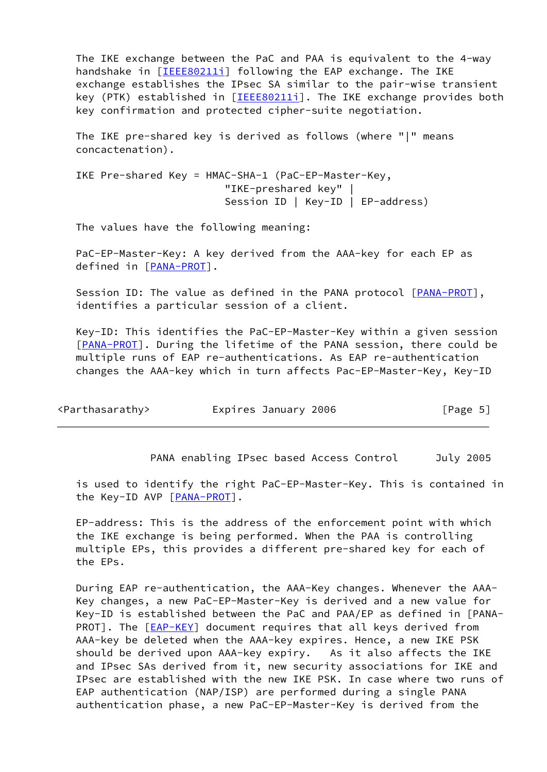The IKE exchange between the PaC and PAA is equivalent to the 4-way handshake in [\[IEEE80211i\]](#page-14-5) following the EAP exchange. The IKE exchange establishes the IPsec SA similar to the pair-wise transient key (PTK) established in [\[IEEE80211i\]](#page-14-5). The IKE exchange provides both key confirmation and protected cipher-suite negotiation.

 The IKE pre-shared key is derived as follows (where "|" means concactenation).

 IKE Pre-shared Key = HMAC-SHA-1 (PaC-EP-Master-Key, "IKE-preshared key" | Session ID | Key-ID | EP-address)

The values have the following meaning:

 PaC-EP-Master-Key: A key derived from the AAA-key for each EP as defined in [[PANA-PROT\]](#page-13-1).

 Session ID: The value as defined in the PANA protocol [[PANA-PROT\]](#page-13-1), identifies a particular session of a client.

 Key-ID: This identifies the PaC-EP-Master-Key within a given session [\[PANA-PROT](#page-13-1)]. During the lifetime of the PANA session, there could be multiple runs of EAP re-authentications. As EAP re-authentication changes the AAA-key which in turn affects Pac-EP-Master-Key, Key-ID

<span id="page-5-0"></span>

| <parthasarathy></parthasarathy> | Expires January 2006 | [Page 5] |
|---------------------------------|----------------------|----------|
|---------------------------------|----------------------|----------|

PANA enabling IPsec based Access Control July 2005

 is used to identify the right PaC-EP-Master-Key. This is contained in the Key-ID AVP [\[PANA-PROT](#page-13-1)].

 EP-address: This is the address of the enforcement point with which the IKE exchange is being performed. When the PAA is controlling multiple EPs, this provides a different pre-shared key for each of the EPs.

 During EAP re-authentication, the AAA-Key changes. Whenever the AAA- Key changes, a new PaC-EP-Master-Key is derived and a new value for Key-ID is established between the PaC and PAA/EP as defined in [PANA- PROT]. The [[EAP-KEY\]](#page-14-3) document requires that all keys derived from AAA-key be deleted when the AAA-key expires. Hence, a new IKE PSK should be derived upon AAA-key expiry. As it also affects the IKE and IPsec SAs derived from it, new security associations for IKE and IPsec are established with the new IKE PSK. In case where two runs of EAP authentication (NAP/ISP) are performed during a single PANA authentication phase, a new PaC-EP-Master-Key is derived from the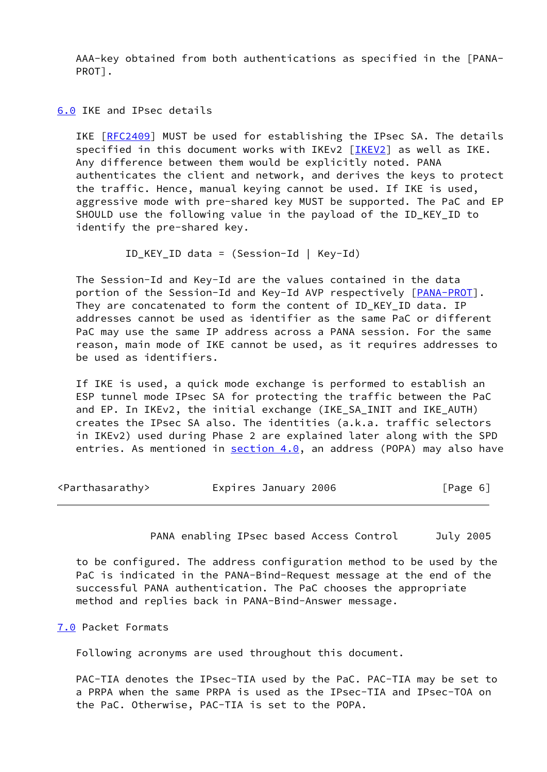AAA-key obtained from both authentications as specified in the [PANA- PROT].

<span id="page-6-0"></span>[6.0](#page-6-0) IKE and IPsec details

 IKE [\[RFC2409](https://datatracker.ietf.org/doc/pdf/rfc2409)] MUST be used for establishing the IPsec SA. The details specified in this document works with IKEv2 [\[IKEV2](#page-13-4)] as well as IKE. Any difference between them would be explicitly noted. PANA authenticates the client and network, and derives the keys to protect the traffic. Hence, manual keying cannot be used. If IKE is used, aggressive mode with pre-shared key MUST be supported. The PaC and EP SHOULD use the following value in the payload of the ID\_KEY\_ID to identify the pre-shared key.

ID KEY ID data = (Session-Id | Key-Id)

 The Session-Id and Key-Id are the values contained in the data portion of the Session-Id and Key-Id AVP respectively [[PANA-PROT\]](#page-13-1). They are concatenated to form the content of ID KEY ID data. IP addresses cannot be used as identifier as the same PaC or different PaC may use the same IP address across a PANA session. For the same reason, main mode of IKE cannot be used, as it requires addresses to be used as identifiers.

 If IKE is used, a quick mode exchange is performed to establish an ESP tunnel mode IPsec SA for protecting the traffic between the PaC and EP. In IKEv2, the initial exchange (IKE\_SA\_INIT and IKE\_AUTH) creates the IPsec SA also. The identities (a.k.a. traffic selectors in IKEv2) used during Phase 2 are explained later along with the SPD entries. As mentioned in  $section 4.0$ , an address (POPA) may also have

<span id="page-6-2"></span>

| <parthasarathy></parthasarathy> | Expires January 2006 | [Page 6] |
|---------------------------------|----------------------|----------|
|---------------------------------|----------------------|----------|

PANA enabling IPsec based Access Control July 2005

 to be configured. The address configuration method to be used by the PaC is indicated in the PANA-Bind-Request message at the end of the successful PANA authentication. The PaC chooses the appropriate method and replies back in PANA-Bind-Answer message.

#### <span id="page-6-1"></span>[7.0](#page-6-1) Packet Formats

Following acronyms are used throughout this document.

 PAC-TIA denotes the IPsec-TIA used by the PaC. PAC-TIA may be set to a PRPA when the same PRPA is used as the IPsec-TIA and IPsec-TOA on the PaC. Otherwise, PAC-TIA is set to the POPA.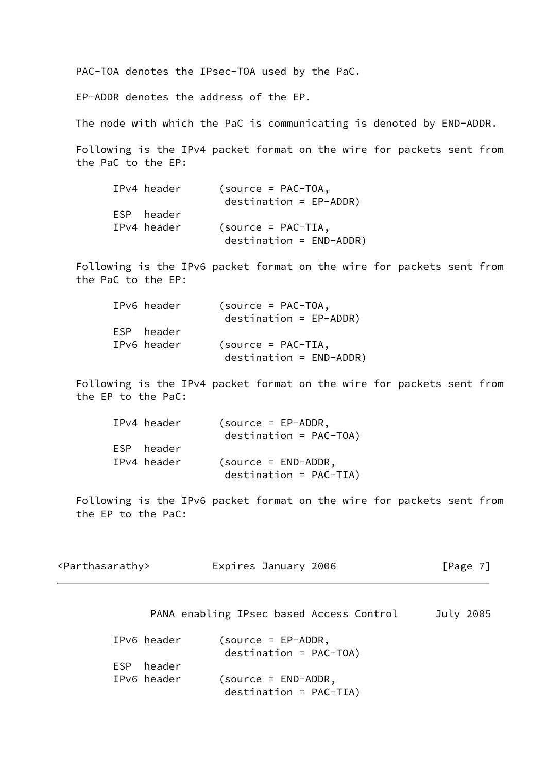PAC-TOA denotes the IPsec-TOA used by the PaC.

EP-ADDR denotes the address of the EP.

The node with which the PaC is communicating is denoted by END-ADDR.

 Following is the IPv4 packet format on the wire for packets sent from the PaC to the EP:

| IPv4 header | $(source = PAC-TOA,$      |
|-------------|---------------------------|
|             | $destination = EP-ADDR)$  |
| ESP header  |                           |
| IPv4 header | $(source = PAC-TIA,$      |
|             | $destination = END-ADDR)$ |

 Following is the IPv6 packet format on the wire for packets sent from the PaC to the EP:

| IPv6 header | $(source = PAC-TOA,$      |
|-------------|---------------------------|
|             | $destination = EP-ADDR)$  |
| ESP header  |                           |
| IPv6 header | $(source = PAC-TIA,$      |
|             | $destination = END-ADDR)$ |

 Following is the IPv4 packet format on the wire for packets sent from the EP to the PaC:

| IPv4 header | $(source = EP-ADDR,$     |
|-------------|--------------------------|
|             | $destination = PAC-TOA)$ |
| ESP header  |                          |
| IPv4 header | $(source = END-ADDR,$    |
|             | $destination = PAC-TIA)$ |

 Following is the IPv6 packet format on the wire for packets sent from the EP to the PaC:

<span id="page-7-0"></span>

| <parthasarathy></parthasarathy> | Expires January 2006 | [Page 7] |
|---------------------------------|----------------------|----------|
|---------------------------------|----------------------|----------|

| IPv6 header | $(source = EP-ADDR,$<br>$destination = PAC-TOA)$ |
|-------------|--------------------------------------------------|
|             |                                                  |
| ESP header  |                                                  |
| IPv6 header | $(source = END-ADDR,$                            |
|             | $destination = PAC-TIA)$                         |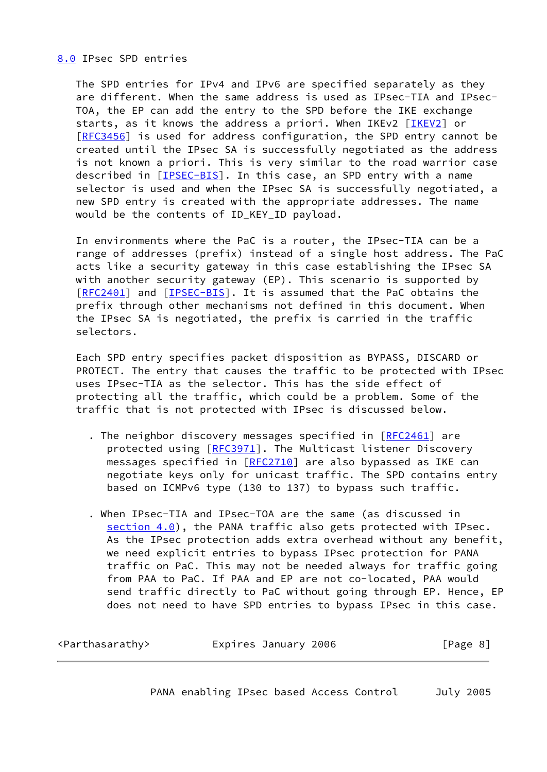<span id="page-8-0"></span>[8.0](#page-8-0) IPsec SPD entries

 The SPD entries for IPv4 and IPv6 are specified separately as they are different. When the same address is used as IPsec-TIA and IPsec- TOA, the EP can add the entry to the SPD before the IKE exchange starts, as it knows the address a priori. When IKEv2 [\[IKEV2\]](#page-13-4) or [\[RFC3456](https://datatracker.ietf.org/doc/pdf/rfc3456)] is used for address configuration, the SPD entry cannot be created until the IPsec SA is successfully negotiated as the address is not known a priori. This is very similar to the road warrior case described in [\[IPSEC-BIS\]](#page-13-5). In this case, an SPD entry with a name selector is used and when the IPsec SA is successfully negotiated, a new SPD entry is created with the appropriate addresses. The name would be the contents of ID KEY ID payload.

 In environments where the PaC is a router, the IPsec-TIA can be a range of addresses (prefix) instead of a single host address. The PaC acts like a security gateway in this case establishing the IPsec SA with another security gateway (EP). This scenario is supported by [\[RFC2401](https://datatracker.ietf.org/doc/pdf/rfc2401)] and [[IPSEC-BIS\]](#page-13-5). It is assumed that the PaC obtains the prefix through other mechanisms not defined in this document. When the IPsec SA is negotiated, the prefix is carried in the traffic selectors.

 Each SPD entry specifies packet disposition as BYPASS, DISCARD or PROTECT. The entry that causes the traffic to be protected with IPsec uses IPsec-TIA as the selector. This has the side effect of protecting all the traffic, which could be a problem. Some of the traffic that is not protected with IPsec is discussed below.

- . The neighbor discovery messages specified in [\[RFC2461](https://datatracker.ietf.org/doc/pdf/rfc2461)] are protected using [\[RFC3971](https://datatracker.ietf.org/doc/pdf/rfc3971)]. The Multicast listener Discovery messages specified in [[RFC2710\]](https://datatracker.ietf.org/doc/pdf/rfc2710) are also bypassed as IKE can negotiate keys only for unicast traffic. The SPD contains entry based on ICMPv6 type (130 to 137) to bypass such traffic.
- . When IPsec-TIA and IPsec-TOA are the same (as discussed in section  $4.0$ ), the PANA traffic also gets protected with IPsec. As the IPsec protection adds extra overhead without any benefit, we need explicit entries to bypass IPsec protection for PANA traffic on PaC. This may not be needed always for traffic going from PAA to PaC. If PAA and EP are not co-located, PAA would send traffic directly to PaC without going through EP. Hence, EP does not need to have SPD entries to bypass IPsec in this case.

| <parthasarathy></parthasarathy> | Expires January 2006 | [Page 8] |  |
|---------------------------------|----------------------|----------|--|
|                                 |                      |          |  |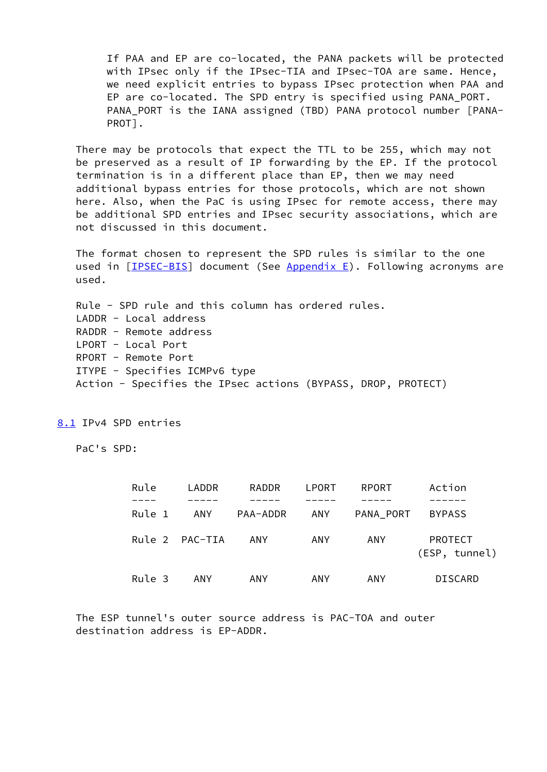If PAA and EP are co-located, the PANA packets will be protected with IPsec only if the IPsec-TIA and IPsec-TOA are same. Hence, we need explicit entries to bypass IPsec protection when PAA and EP are co-located. The SPD entry is specified using PANA\_PORT. PANA\_PORT is the IANA assigned (TBD) PANA protocol number [PANA- PROT].

 There may be protocols that expect the TTL to be 255, which may not be preserved as a result of IP forwarding by the EP. If the protocol termination is in a different place than EP, then we may need additional bypass entries for those protocols, which are not shown here. Also, when the PaC is using IPsec for remote access, there may be additional SPD entries and IPsec security associations, which are not discussed in this document.

 The format chosen to represent the SPD rules is similar to the one used in  $[IPSEC-BIS]$  $[IPSEC-BIS]$  document (See Appendix E). Following acronyms are used.

 Rule - SPD rule and this column has ordered rules. LADDR - Local address RADDR - Remote address LPORT - Local Port RPORT - Remote Port ITYPE - Specifies ICMPv6 type Action - Specifies the IPsec actions (BYPASS, DROP, PROTECT)

<span id="page-9-0"></span>[8.1](#page-9-0) IPv4 SPD entries

PaC's SPD:

| Rule   | LADDR          | RADDR    | LPORT      | RPORT     | Action                   |
|--------|----------------|----------|------------|-----------|--------------------------|
|        |                |          |            |           |                          |
| Rule 1 | ANY            | PAA-ADDR | ANY        | PANA PORT | <b>BYPASS</b>            |
|        | Rule 2 PAC-TIA | ANY      | ANY        | ANY       | PROTECT<br>(ESP, tunnel) |
| Rule 3 | ANY            | ANY      | <b>ANY</b> | ANY       | DISCARD                  |

 The ESP tunnel's outer source address is PAC-TOA and outer destination address is EP-ADDR.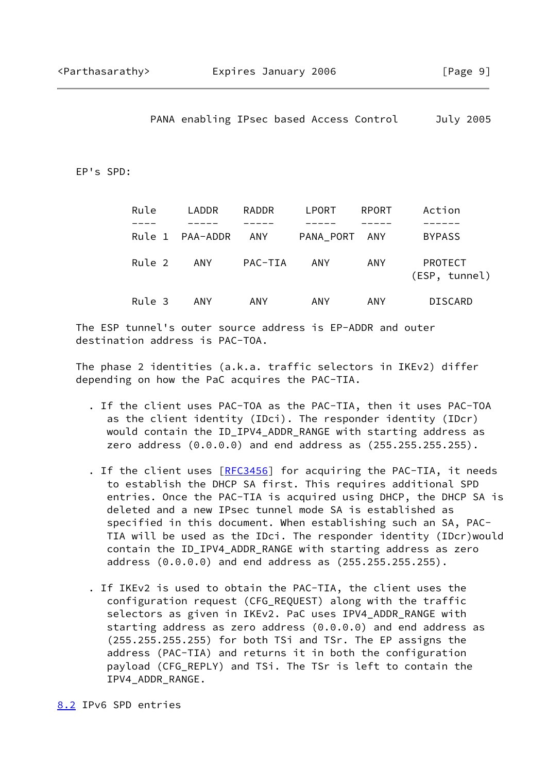PANA enabling IPsec based Access Control July 2005

EP's SPD:

| Rule   | LADDR           | RADDR      | LPORT         | RPORT | Action                   |
|--------|-----------------|------------|---------------|-------|--------------------------|
|        |                 |            |               |       |                          |
|        | Rule 1 PAA-ADDR | ANY        | PANA_PORT ANY |       | <b>BYPASS</b>            |
| Rule 2 | ANY             | PAC-TIA    | ANY           | ANY.  | PROTECT<br>(ESP, tunnel) |
| Rule 3 | <b>ANY</b>      | <b>ANY</b> | ANY           | ANY.  | <b>DISCARD</b>           |

 The ESP tunnel's outer source address is EP-ADDR and outer destination address is PAC-TOA.

 The phase 2 identities (a.k.a. traffic selectors in IKEv2) differ depending on how the PaC acquires the PAC-TIA.

- . If the client uses PAC-TOA as the PAC-TIA, then it uses PAC-TOA as the client identity (IDci). The responder identity (IDcr) would contain the ID\_IPV4\_ADDR\_RANGE with starting address as zero address (0.0.0.0) and end address as (255.255.255.255).
- . If the client uses [\[RFC3456](https://datatracker.ietf.org/doc/pdf/rfc3456)] for acquiring the PAC-TIA, it needs to establish the DHCP SA first. This requires additional SPD entries. Once the PAC-TIA is acquired using DHCP, the DHCP SA is deleted and a new IPsec tunnel mode SA is established as specified in this document. When establishing such an SA, PAC- TIA will be used as the IDci. The responder identity (IDcr)would contain the ID\_IPV4\_ADDR\_RANGE with starting address as zero address (0.0.0.0) and end address as (255.255.255.255).
- . If IKEv2 is used to obtain the PAC-TIA, the client uses the configuration request (CFG\_REQUEST) along with the traffic selectors as given in IKEv2. PaC uses IPV4\_ADDR\_RANGE with starting address as zero address (0.0.0.0) and end address as (255.255.255.255) for both TSi and TSr. The EP assigns the address (PAC-TIA) and returns it in both the configuration payload (CFG\_REPLY) and TSi. The TSr is left to contain the IPV4\_ADDR\_RANGE.

<span id="page-10-0"></span>[8.2](#page-10-0) IPv6 SPD entries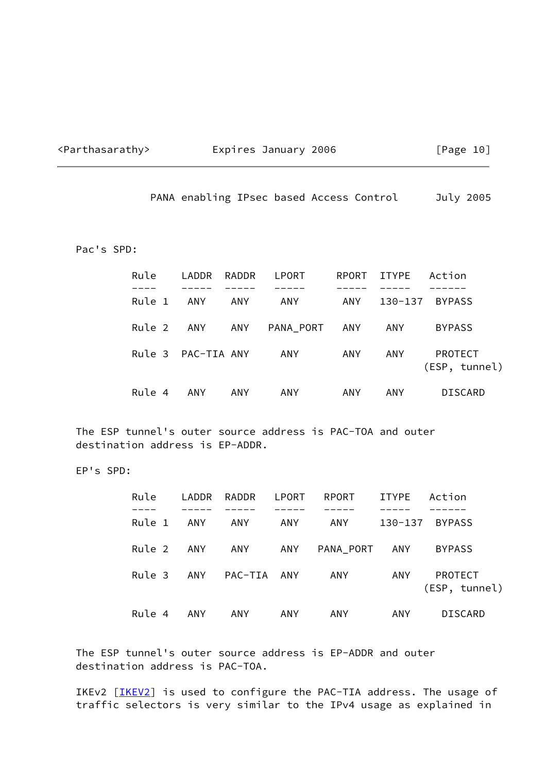<span id="page-11-0"></span>

# <Parthasarathy> Expires January 2006 [Page 10]

PANA enabling IPsec based Access Control July 2005

Pac's SPD:

| Rule               | LADDR | RADDR | LPORT     | RPORT | ITYPE   | Action                          |
|--------------------|-------|-------|-----------|-------|---------|---------------------------------|
| Rule 1             | ANY   | ANY   | ANY       | ANY   | 130-137 | BYPASS                          |
| Rule 2             | ANY   | ANY   | PANA_PORT | ANY   | ANY     | <b>BYPASS</b>                   |
| Rule 3 PAC-TIA ANY |       |       | ANY       | ANY   | ANY     | <b>PROTECT</b><br>(ESP, tunnel) |
| Rule 4             | ANY   | ANY   | ANY       | ANY   | ANY     | DISCARD                         |

 The ESP tunnel's outer source address is PAC-TOA and outer destination address is EP-ADDR.

EP's SPD:

| Rule   |     | LADDR RADDR LPORT |     | RPORT         | ITYPE Action |                          |
|--------|-----|-------------------|-----|---------------|--------------|--------------------------|
| Rule 1 | ANY | ANY               | ANY | ANY           |              | 130-137 BYPASS           |
| Rule 2 | ANY | ANY               |     | ANY PANA PORT | ANY          | <b>BYPASS</b>            |
| Rule 3 | ANY | PAC-TIA ANY       |     | ANY           | ANY          | PROTECT<br>(ESP, tunnel) |
| Rule 4 | ANY | ANY               | ANY | ANY           | <b>ANY</b>   | DISCARD                  |

 The ESP tunnel's outer source address is EP-ADDR and outer destination address is PAC-TOA.

IKEv2 [[IKEV2\]](#page-13-4) is used to configure the PAC-TIA address. The usage of traffic selectors is very similar to the IPv4 usage as explained in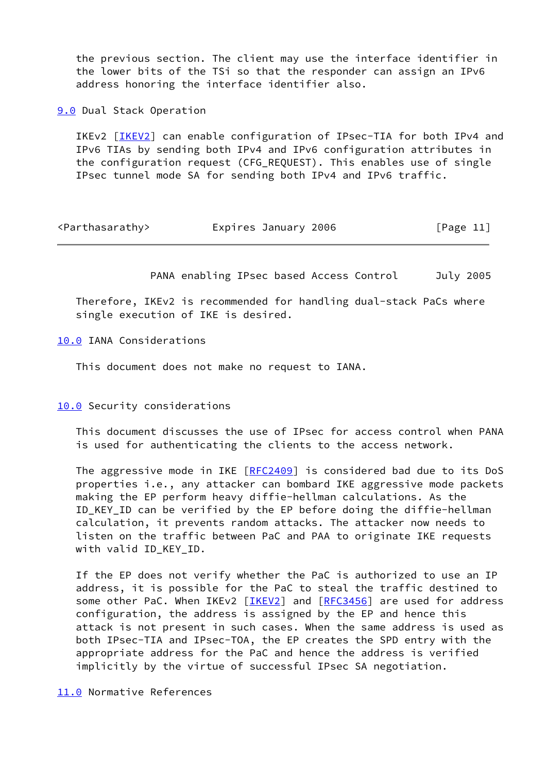the previous section. The client may use the interface identifier in the lower bits of the TSi so that the responder can assign an IPv6 address honoring the interface identifier also.

<span id="page-12-0"></span>**[9.0](#page-12-0)** Dual Stack Operation

 IKEv2 [[IKEV2\]](#page-13-4) can enable configuration of IPsec-TIA for both IPv4 and IPv6 TIAs by sending both IPv4 and IPv6 configuration attributes in the configuration request (CFG\_REQUEST). This enables use of single IPsec tunnel mode SA for sending both IPv4 and IPv6 traffic.

<span id="page-12-2"></span>

| <parthasarathy></parthasarathy> | Expires January 2006 | [Page 11] |
|---------------------------------|----------------------|-----------|
|---------------------------------|----------------------|-----------|

PANA enabling IPsec based Access Control July 2005

 Therefore, IKEv2 is recommended for handling dual-stack PaCs where single execution of IKE is desired.

<span id="page-12-1"></span>[10.0](#page-12-1) IANA Considerations

This document does not make no request to IANA.

[10.0](#page-12-1) Security considerations

 This document discusses the use of IPsec for access control when PANA is used for authenticating the clients to the access network.

 The aggressive mode in IKE [[RFC2409\]](https://datatracker.ietf.org/doc/pdf/rfc2409) is considered bad due to its DoS properties i.e., any attacker can bombard IKE aggressive mode packets making the EP perform heavy diffie-hellman calculations. As the ID\_KEY\_ID can be verified by the EP before doing the diffie-hellman calculation, it prevents random attacks. The attacker now needs to listen on the traffic between PaC and PAA to originate IKE requests with valid ID\_KEY\_ID.

 If the EP does not verify whether the PaC is authorized to use an IP address, it is possible for the PaC to steal the traffic destined to some other PaC. When IKEv2 [[IKEV2\]](#page-13-4) and [\[RFC3456](https://datatracker.ietf.org/doc/pdf/rfc3456)] are used for address configuration, the address is assigned by the EP and hence this attack is not present in such cases. When the same address is used as both IPsec-TIA and IPsec-TOA, the EP creates the SPD entry with the appropriate address for the PaC and hence the address is verified implicitly by the virtue of successful IPsec SA negotiation.

<span id="page-12-3"></span>[11.0](#page-12-3) Normative References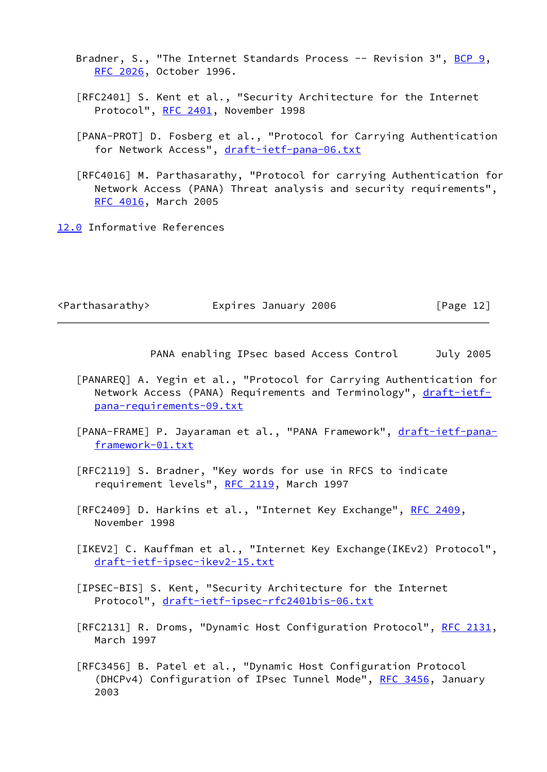Bradner, S., "The Internet Standards Process -- Revision 3",  $BCP = 9$ , [RFC 2026,](https://datatracker.ietf.org/doc/pdf/rfc2026) October 1996.

- [RFC2401] S. Kent et al., "Security Architecture for the Internet Protocol", [RFC 2401](https://datatracker.ietf.org/doc/pdf/rfc2401), November 1998
- <span id="page-13-1"></span> [PANA-PROT] D. Fosberg et al., "Protocol for Carrying Authentication for Network Access", [draft-ietf-pana-06.txt](https://datatracker.ietf.org/doc/pdf/draft-ietf-pana-06.txt)

 [RFC4016] M. Parthasarathy, "Protocol for carrying Authentication for Network Access (PANA) Threat analysis and security requirements", [RFC 4016,](https://datatracker.ietf.org/doc/pdf/rfc4016) March 2005

<span id="page-13-0"></span>[12.0](#page-13-0) Informative References

<Parthasarathy> Expires January 2006 [Page 12]

- <span id="page-13-2"></span> [PANAREQ] A. Yegin et al., "Protocol for Carrying Authentication for Network Access (PANA) Requirements and Terminology", [draft-ietf](https://datatracker.ietf.org/doc/pdf/draft-ietf-pana-requirements-09.txt) [pana-requirements-09.txt](https://datatracker.ietf.org/doc/pdf/draft-ietf-pana-requirements-09.txt)
- <span id="page-13-3"></span>[PANA-FRAME] P. Jayaraman et al., "PANA Framework", [draft-ietf-pana](https://datatracker.ietf.org/doc/pdf/draft-ietf-pana-framework-01.txt) [framework-01.txt](https://datatracker.ietf.org/doc/pdf/draft-ietf-pana-framework-01.txt)
- [RFC2119] S. Bradner, "Key words for use in RFCS to indicate requirement levels", [RFC 2119](https://datatracker.ietf.org/doc/pdf/rfc2119), March 1997
- [RFC2409] D. Harkins et al., "Internet Key Exchange", [RFC 2409](https://datatracker.ietf.org/doc/pdf/rfc2409), November 1998
- <span id="page-13-4"></span> [IKEV2] C. Kauffman et al., "Internet Key Exchange(IKEv2) Protocol", [draft-ietf-ipsec-ikev2-15.txt](https://datatracker.ietf.org/doc/pdf/draft-ietf-ipsec-ikev2-15.txt)
- <span id="page-13-5"></span> [IPSEC-BIS] S. Kent, "Security Architecture for the Internet Protocol", [draft-ietf-ipsec-rfc2401bis-06.txt](https://datatracker.ietf.org/doc/pdf/draft-ietf-ipsec-rfc2401bis-06.txt)
- [RFC2131] R. Droms, "Dynamic Host Configuration Protocol", [RFC 2131,](https://datatracker.ietf.org/doc/pdf/rfc2131) March 1997
- [RFC3456] B. Patel et al., "Dynamic Host Configuration Protocol (DHCPv4) Configuration of IPsec Tunnel Mode", [RFC 3456](https://datatracker.ietf.org/doc/pdf/rfc3456), January 2003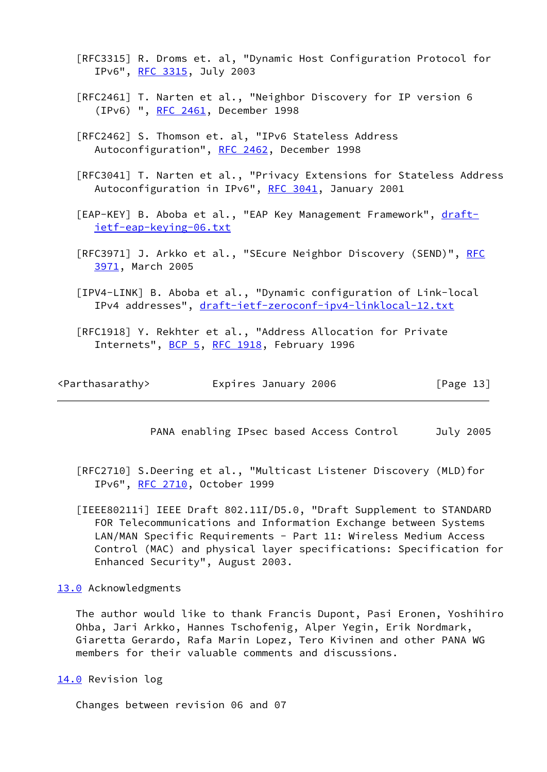[RFC3315] R. Droms et. al, "Dynamic Host Configuration Protocol for IPv6", [RFC 3315](https://datatracker.ietf.org/doc/pdf/rfc3315), July 2003

- [RFC2461] T. Narten et al., "Neighbor Discovery for IP version 6 (IPv6) ", [RFC 2461](https://datatracker.ietf.org/doc/pdf/rfc2461), December 1998
- [RFC2462] S. Thomson et. al, "IPv6 Stateless Address Autoconfiguration", [RFC 2462,](https://datatracker.ietf.org/doc/pdf/rfc2462) December 1998

 [RFC3041] T. Narten et al., "Privacy Extensions for Stateless Address Autoconfiguration in IPv6", [RFC 3041,](https://datatracker.ietf.org/doc/pdf/rfc3041) January 2001

<span id="page-14-3"></span>[EAP-KEY] B. Aboba et al., "EAP Key Management Framework", [draft](https://datatracker.ietf.org/doc/pdf/draft-ietf-eap-keying-06.txt) [ietf-eap-keying-06.txt](https://datatracker.ietf.org/doc/pdf/draft-ietf-eap-keying-06.txt)

[[RFC](https://datatracker.ietf.org/doc/pdf/rfc3971)3971] J. Arkko et al., "SEcure Neighbor Discovery (SEND)", RFC [3971,](https://datatracker.ietf.org/doc/pdf/rfc3971) March 2005

<span id="page-14-4"></span> [IPV4-LINK] B. Aboba et al., "Dynamic configuration of Link-local IPv4 addresses", [draft-ietf-zeroconf-ipv4-linklocal-12.txt](https://datatracker.ietf.org/doc/pdf/draft-ietf-zeroconf-ipv4-linklocal-12.txt)

 [RFC1918] Y. Rekhter et al., "Address Allocation for Private Internets", [BCP 5,](https://datatracker.ietf.org/doc/pdf/bcp5) [RFC 1918](https://datatracker.ietf.org/doc/pdf/rfc1918), February 1996

<span id="page-14-1"></span>

| <parthasarathy></parthasarathy> | Expires January 2006 | [Page 13] |
|---------------------------------|----------------------|-----------|
|---------------------------------|----------------------|-----------|

PANA enabling IPsec based Access Control July 2005

 [RFC2710] S.Deering et al., "Multicast Listener Discovery (MLD)for IPv6", [RFC 2710](https://datatracker.ietf.org/doc/pdf/rfc2710), October 1999

<span id="page-14-5"></span> [IEEE80211i] IEEE Draft 802.11I/D5.0, "Draft Supplement to STANDARD FOR Telecommunications and Information Exchange between Systems LAN/MAN Specific Requirements - Part 11: Wireless Medium Access Control (MAC) and physical layer specifications: Specification for Enhanced Security", August 2003.

# <span id="page-14-0"></span>[13.0](#page-14-0) Acknowledgments

 The author would like to thank Francis Dupont, Pasi Eronen, Yoshihiro Ohba, Jari Arkko, Hannes Tschofenig, Alper Yegin, Erik Nordmark, Giaretta Gerardo, Rafa Marin Lopez, Tero Kivinen and other PANA WG members for their valuable comments and discussions.

<span id="page-14-2"></span>[14.0](#page-14-2) Revision log

Changes between revision 06 and 07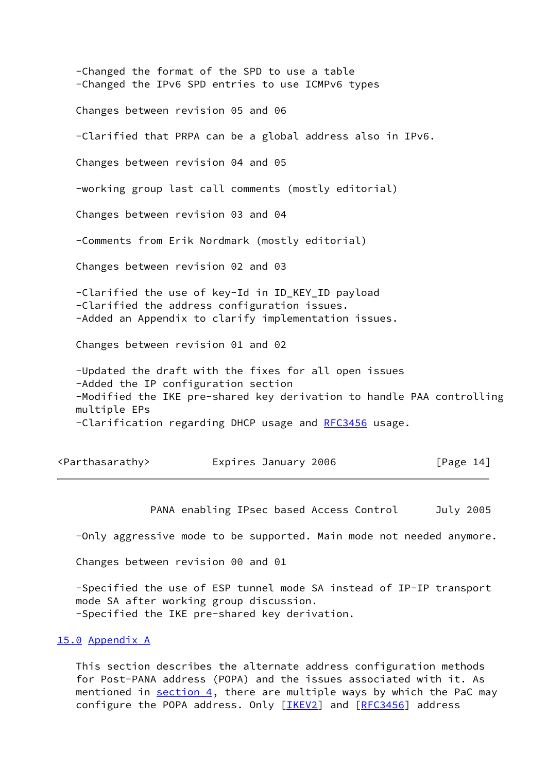-Changed the format of the SPD to use a table -Changed the IPv6 SPD entries to use ICMPv6 types Changes between revision 05 and 06 -Clarified that PRPA can be a global address also in IPv6. Changes between revision 04 and 05 -working group last call comments (mostly editorial) Changes between revision 03 and 04 -Comments from Erik Nordmark (mostly editorial) Changes between revision 02 and 03 -Clarified the use of key-Id in ID\_KEY\_ID payload -Clarified the address configuration issues. -Added an Appendix to clarify implementation issues. Changes between revision 01 and 02 -Updated the draft with the fixes for all open issues -Added the IP configuration section -Modified the IKE pre-shared key derivation to handle PAA controlling multiple EPs -Clarification regarding DHCP usage and [RFC3456](https://datatracker.ietf.org/doc/pdf/rfc3456) usage.

<span id="page-15-1"></span>

| <parthasarathy></parthasarathy> | Expires January 2006 | [Page 14] |
|---------------------------------|----------------------|-----------|
|---------------------------------|----------------------|-----------|

PANA enabling IPsec based Access Control July 2005

-Only aggressive mode to be supported. Main mode not needed anymore.

Changes between revision 00 and 01

 -Specified the use of ESP tunnel mode SA instead of IP-IP transport mode SA after working group discussion. -Specified the IKE pre-shared key derivation.

# <span id="page-15-0"></span>[15.0](#page-15-0) Appendix A

 This section describes the alternate address configuration methods for Post-PANA address (POPA) and the issues associated with it. As mentioned in section 4, there are multiple ways by which the PaC may configure the POPA address. Only [\[IKEV2\]](#page-13-4) and [\[RFC3456](https://datatracker.ietf.org/doc/pdf/rfc3456)] address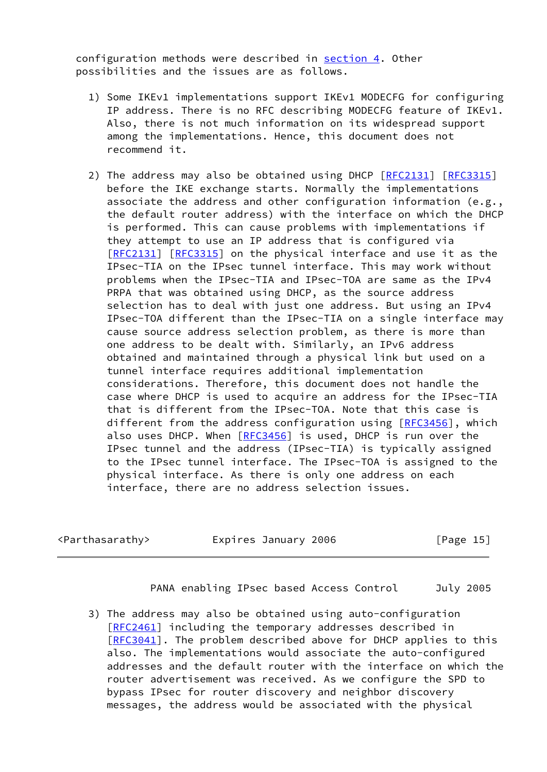configuration methods were described in section 4. Other possibilities and the issues are as follows.

- 1) Some IKEv1 implementations support IKEv1 MODECFG for configuring IP address. There is no RFC describing MODECFG feature of IKEv1. Also, there is not much information on its widespread support among the implementations. Hence, this document does not recommend it.
- 2) The address may also be obtained using DHCP  $[RFC2131]$  $[RFC2131]$   $[RFC3315]$  $[RFC3315]$  before the IKE exchange starts. Normally the implementations associate the address and other configuration information (e.g., the default router address) with the interface on which the DHCP is performed. This can cause problems with implementations if they attempt to use an IP address that is configured via [\[RFC2131](https://datatracker.ietf.org/doc/pdf/rfc2131)] [\[RFC3315](https://datatracker.ietf.org/doc/pdf/rfc3315)] on the physical interface and use it as the IPsec-TIA on the IPsec tunnel interface. This may work without problems when the IPsec-TIA and IPsec-TOA are same as the IPv4 PRPA that was obtained using DHCP, as the source address selection has to deal with just one address. But using an IPv4 IPsec-TOA different than the IPsec-TIA on a single interface may cause source address selection problem, as there is more than one address to be dealt with. Similarly, an IPv6 address obtained and maintained through a physical link but used on a tunnel interface requires additional implementation considerations. Therefore, this document does not handle the case where DHCP is used to acquire an address for the IPsec-TIA that is different from the IPsec-TOA. Note that this case is different from the address configuration using [\[RFC3456](https://datatracker.ietf.org/doc/pdf/rfc3456)], which also uses DHCP. When [[RFC3456](https://datatracker.ietf.org/doc/pdf/rfc3456)] is used, DHCP is run over the IPsec tunnel and the address (IPsec-TIA) is typically assigned to the IPsec tunnel interface. The IPsec-TOA is assigned to the physical interface. As there is only one address on each interface, there are no address selection issues.

<span id="page-16-0"></span><Parthasarathy> Expires January 2006 [Page 15]

PANA enabling IPsec based Access Control July 2005

 3) The address may also be obtained using auto-configuration [\[RFC2461](https://datatracker.ietf.org/doc/pdf/rfc2461)] including the temporary addresses described in [\[RFC3041](https://datatracker.ietf.org/doc/pdf/rfc3041)]. The problem described above for DHCP applies to this also. The implementations would associate the auto-configured addresses and the default router with the interface on which the router advertisement was received. As we configure the SPD to bypass IPsec for router discovery and neighbor discovery messages, the address would be associated with the physical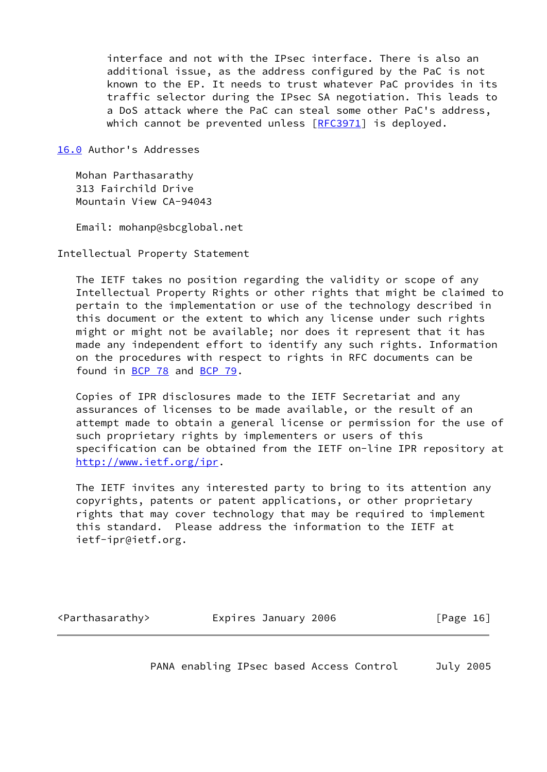interface and not with the IPsec interface. There is also an additional issue, as the address configured by the PaC is not known to the EP. It needs to trust whatever PaC provides in its traffic selector during the IPsec SA negotiation. This leads to a DoS attack where the PaC can steal some other PaC's address, which cannot be prevented unless [[RFC3971](https://datatracker.ietf.org/doc/pdf/rfc3971)] is deployed.

<span id="page-17-0"></span>[16.0](#page-17-0) Author's Addresses

 Mohan Parthasarathy 313 Fairchild Drive Mountain View CA-94043

Email: mohanp@sbcglobal.net

Intellectual Property Statement

 The IETF takes no position regarding the validity or scope of any Intellectual Property Rights or other rights that might be claimed to pertain to the implementation or use of the technology described in this document or the extent to which any license under such rights might or might not be available; nor does it represent that it has made any independent effort to identify any such rights. Information on the procedures with respect to rights in RFC documents can be found in [BCP 78](https://datatracker.ietf.org/doc/pdf/bcp78) and [BCP 79](https://datatracker.ietf.org/doc/pdf/bcp79).

 Copies of IPR disclosures made to the IETF Secretariat and any assurances of licenses to be made available, or the result of an attempt made to obtain a general license or permission for the use of such proprietary rights by implementers or users of this specification can be obtained from the IETF on-line IPR repository at <http://www.ietf.org/ipr>.

 The IETF invites any interested party to bring to its attention any copyrights, patents or patent applications, or other proprietary rights that may cover technology that may be required to implement this standard. Please address the information to the IETF at ietf-ipr@ietf.org.

<span id="page-17-1"></span>

| <parthasarathy></parthasarathy> | Expires January 2006 | [Page 16] |
|---------------------------------|----------------------|-----------|
|                                 |                      |           |